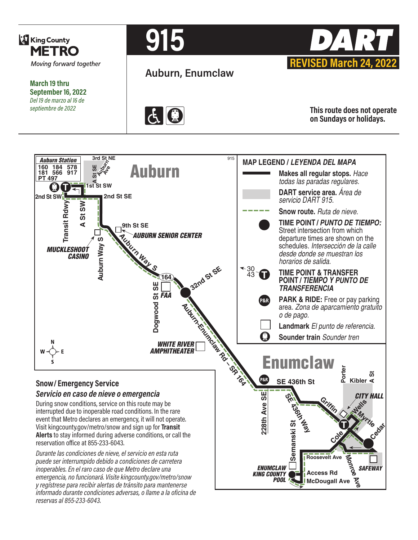

**March 19 thru September 16, 2022** *Del 19 de marzo al 16 de septiembre de 2022*



**Auburn, Enumclaw**





**This route does not operate on Sundays or holidays.**